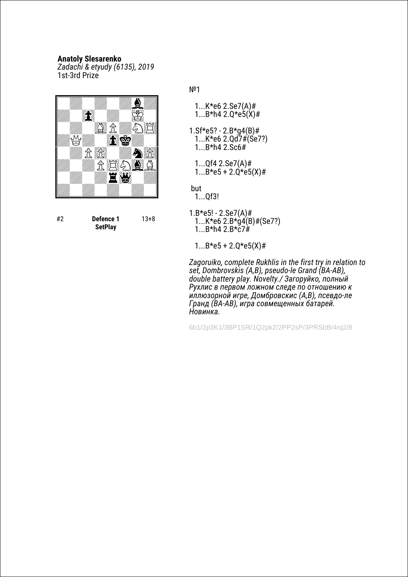*Zadachi & etyudy (6135), 2019* 1st-3rd Prize



#2 **Defence 1 SetPlay** 13+8 №1

- 1...K\*e6 2.Se7(A)#  $1...B*h4 2.Q*e<sub>5</sub>(X)$ #
- 1.Sf\*e5? 2.B\*g4(B)# 1...K\*e6 2.Qd7#(Se7?) 1...B\*h4 2.Sc6#
	- 1...Qf4 2.Se7(A)#  $1...B*e5 + 2.Q*e5(X)*$

 but 1...Qf3!

- $1.B*e5! 2.Se7(A)#$ 1...K\*e6  $2.B*g4(B)$ #(Se7?)  $1...B*h4 2.B*c7#$ 
	- $1...B*e5 + 2.Q*e5(X)$ #

*Zagoruiko, complete Rukhlis in the first try in relation to set, Dombrovskis (A,B), pseudo-le Grand (BA-AB), double battery play. Novelty./ Загоруйко, полный Рухлис в первом ложном следе по отношению к иллюзорной игре, Домбровскис (A,B), псевдо-ле Гранд (BA-AB), игра совмещенных батарей. Новинка.*

6b1/2p3K1/3BP1SR/1Q2pk2/2PP2sP/3PRSbB/4rq2/8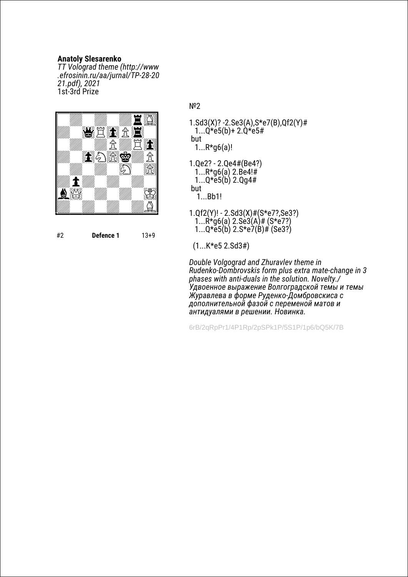*TT Volograd theme (http://www .efrosinin.ru/aa/jurnal/TP-28-20 21.pdf), 2021* 1st-3rd Prize



#2 **Defence 1** 13+9

№2

- 1.Sd3(X)? -2.Se3(A),S\*e7(B),Qf2(Y)#  $1...Q*e5(b)+2.Q*e5#$  but  $1...R*q6(a)!$
- 1.Qe2? 2.Qe4#(Be4?)  $1...R*g6(a)$  2.Be4!#  $1...Q*e5(b)$  2.Qg4# but

1...Bb1!

1.Qf2(Y)! - 2.Sd3(X)#(S\*e7?,Se3?)  $1...R \star 06(a) 2.Se3(A)$ # (S $\star e7$ ?)  $1...Q*e5(b)$  2.S\*e7(B)# (Se3?)

(1...K\*e5 2.Sd3#)

*Double Volgograd and Zhuravlev theme in Rudenko-Dombrovskis form plus extra mate-change in 3 phases with anti-duals in the solution. Novelty./ Удвоенное выражение Волгоградской темы и темы Журавлева в форме Руденко-Домбровскиса с дополнительной фазой с переменой матов и антидуалями в решении. Новинка.*

6rB/2qRpPr1/4P1Rp/2pSPk1P/5S1P/1p6/bQ5K/7B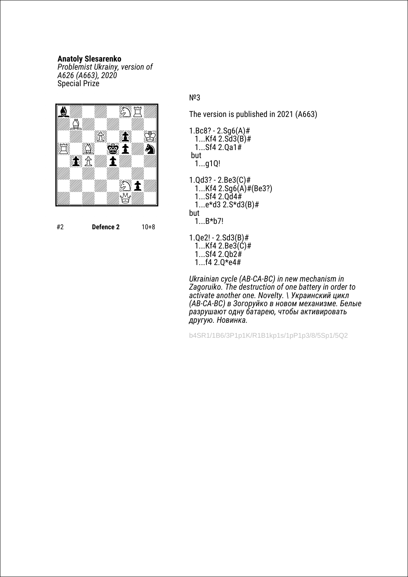*Problemist Ukrainy, version of A626 (A663), 2020* Special Prize



#2 **Defence 2** 10+8

# №3

The version is published in 2021 (A663)

- 1.Bc8? 2.Sg6(A)# 1...Kf4 2.Sd3(B)# 1...Sf4 2.Qa1# but 1...g1Q!
- 1.Qd3? 2.Be3(C)# 1...Kf4 2.Sg6(A)#(Be3?) 1...Sf4 2.Qd4# 1...e\*d3 2.S\*d3(B)# but
	- 1...B\*b7!
- 1.Qe2! 2.Sd3(B)#  $1...$ Kf4 2.Be3 $(\acute{c})$ # 1...Sf4 2.Qb2# 1...f4 2.Q\*e4#

*Ukrainian cycle (AB-CA-BC) in new mechanism in Zagoruiko. The destruction of one battery in order to activate another one. Novelty. \ Украинский цикл (AB-CA-BC) в Зогоруйко в новом механизме. Белые разрушают одну батарею, чтобы активировать другую. Новинка.*

b4SR1/1B6/3P1p1K/R1B1kp1s/1pP1p3/8/5Sp1/5Q2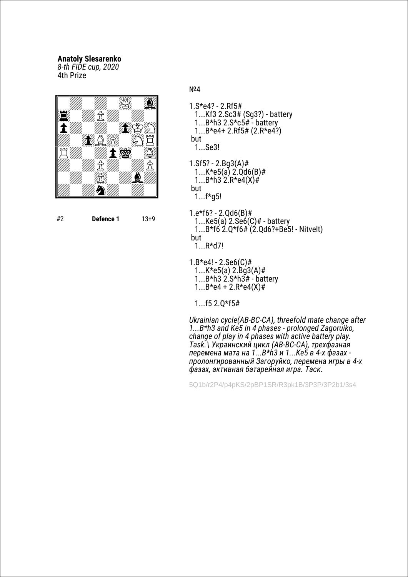*8-th FIDE cup, 2020* 4th Prize



#2 **Defence 1** 13+9

№4

- 1.S\*e4? 2.Rf5# 1...Kf3 2.Sc3# (Sg3?) - battery 1...B\*h3 2.S\*c5# - battery 1...B\*e4+ 2.Rf5# (2.R\*e4?) but 1...Se3!
- 1.Sf5? 2.Bg3(A)# 1... $K*e5(a)$  2. $Qd6(B)$ # 1...B\*h3  $2.F*e4(X)$ # but
	- 1...f\*g5!
- 1.e\*f6? 2.Qd6(B)# 1... $Ke5(a)$  2. $Se6(C)$ # - battery  $1...B*$ f6  $2.Q*$ f6# $(2.Qd6?+Be5!$  - Nitvelt) but 1...R\*d7!
- 1.B\*e4! 2.Se6(C)#
	- 1... $K*e5(a)$  2.Bg3(A)# 1... $B*h3$  2. $S*h3H \div b$  attery  $1...B^*e4 + 2.R^*e4(X)$ #

1...f5 2.Q\*f5#

*Ukrainian cycle(AB-BC-CA), threefold mate change after 1...B\*h3 and Ke5 in 4 phases - prolonged Zagoruiko, change of play in 4 phases with active battery play. Task.\ Украинский цикл (AB-BC-CA), трехфазная перемена мата на 1...B\*h3 и 1...Ke5 в 4-х фазах пролонгированный Загоруйко, перемена игры в 4-х фазах, активная батарейная игра. Таск.*

5Q1b/r2P4/p4pKS/2pBP1SR/R3pk1B/3P3P/3P2b1/3s4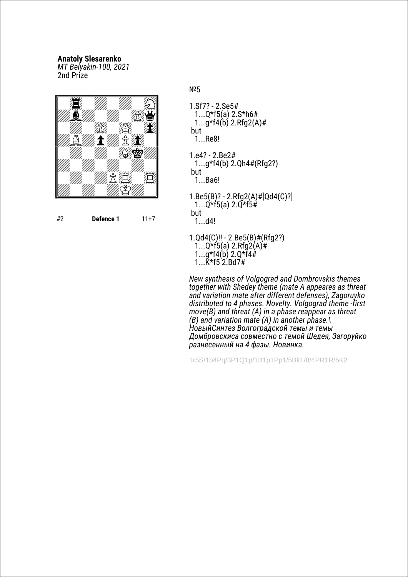*MT Belyakin-100, 2021* 2nd Prize



#2 **Defence 1** 11+7

№5

- 1.Sf7? 2.Se5# 1...Q\*f5(a) 2.S\*h6#  $1...q*f(4b)$  2.Rfg2(A)# but 1...Re8!
- 1.e4? 2.Be2# 1...g\*f4(b) 2.Qh4#(Rfg2?) but 1...Ba6!
- 1.Be5(B)? 2.Rfg2(A)#[Qd4(C)?]  $1...Q^*f5(a)$  2. $\overline{Q}$ \*f5# but 1...d4!
- 1.Qd4(C)!! 2.Be5(B)#(Rfg2?) 1...Q\*f5(a) 2.Rfg2(A)# 1...g\*f4(b) 2.Q\*f4# 1...K\*f5 2.Bd7#

*New synthesis of Volgograd and Dombrovskis themes together with Shedey theme (mate A appeares as threat and variation mate after different defenses), Zagoruyko distributed to 4 phases. Novelty. Volgograd theme -first move(B) and threat (A) in a phase reappear as threat (B) and variation mate (A) in another phase.\ НовыйСинтез Волгоградской темы и темы Домбровскиса совместно с темой Шедея, Загоруйко разнесенный на 4 фазы. Новинка.*

1r5S/1b4Pq/3P1Q1p/1B1p1Pp1/5Bk1/8/4PR1R/5K2